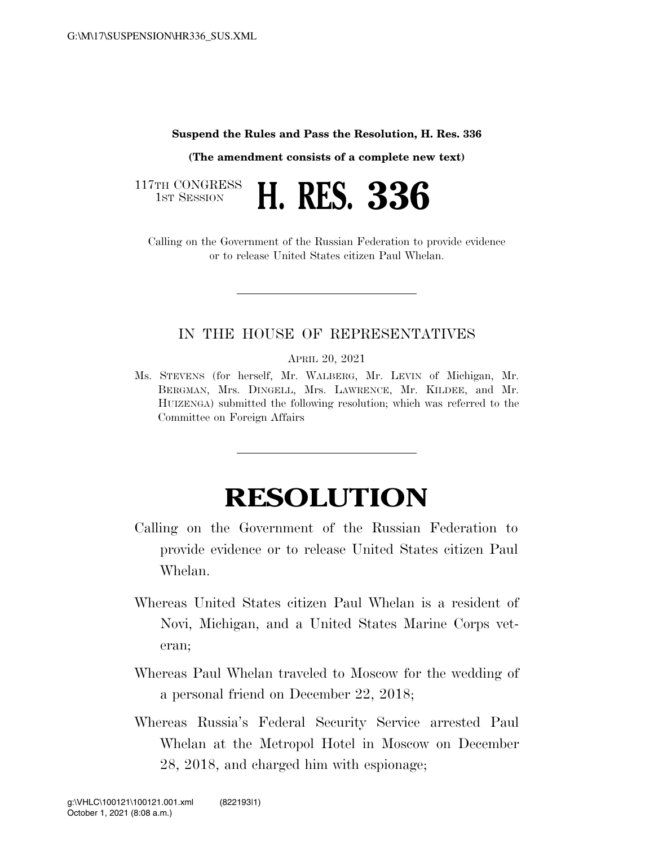## **Suspend the Rules and Pass the Resolution, H. Res. 336**

**(The amendment consists of a complete new text)** 

117TH CONGRESS



Calling on the Government of the Russian Federation to provide evidence or to release United States citizen Paul Whelan.

## IN THE HOUSE OF REPRESENTATIVES

APRIL 20, 2021

Ms. STEVENS (for herself, Mr. WALBERG, Mr. LEVIN of Michigan, Mr. BERGMAN, Mrs. DINGELL, Mrs. LAWRENCE, Mr. KILDEE, and Mr. HUIZENGA) submitted the following resolution; which was referred to the Committee on Foreign Affairs

## **RESOLUTION**

- Calling on the Government of the Russian Federation to provide evidence or to release United States citizen Paul Whelan.
- Whereas United States citizen Paul Whelan is a resident of Novi, Michigan, and a United States Marine Corps veteran;
- Whereas Paul Whelan traveled to Moscow for the wedding of a personal friend on December 22, 2018;
- Whereas Russia's Federal Security Service arrested Paul Whelan at the Metropol Hotel in Moscow on December 28, 2018, and charged him with espionage;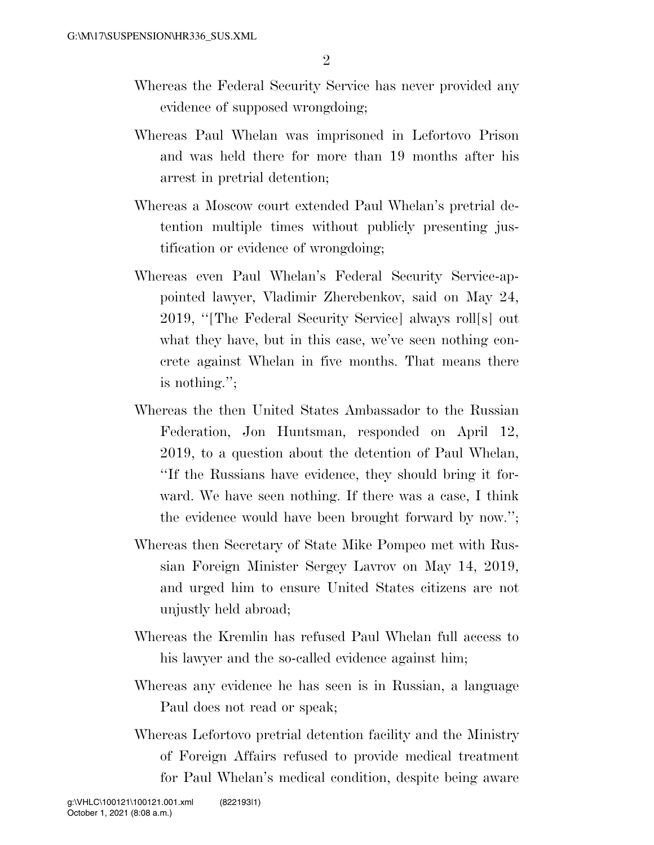- Whereas the Federal Security Service has never provided any evidence of supposed wrongdoing;
- Whereas Paul Whelan was imprisoned in Lefortovo Prison and was held there for more than 19 months after his arrest in pretrial detention;
- Whereas a Moscow court extended Paul Whelan's pretrial detention multiple times without publicly presenting justification or evidence of wrongdoing;
- Whereas even Paul Whelan's Federal Security Service-appointed lawyer, Vladimir Zherebenkov, said on May 24, 2019, ''[The Federal Security Service] always roll[s] out what they have, but in this case, we've seen nothing concrete against Whelan in five months. That means there is nothing.'';
- Whereas the then United States Ambassador to the Russian Federation, Jon Huntsman, responded on April 12, 2019, to a question about the detention of Paul Whelan, ''If the Russians have evidence, they should bring it forward. We have seen nothing. If there was a case, I think the evidence would have been brought forward by now.'';
- Whereas then Secretary of State Mike Pompeo met with Russian Foreign Minister Sergey Lavrov on May 14, 2019, and urged him to ensure United States citizens are not unjustly held abroad;
- Whereas the Kremlin has refused Paul Whelan full access to his lawyer and the so-called evidence against him;
- Whereas any evidence he has seen is in Russian, a language Paul does not read or speak;
- Whereas Lefortovo pretrial detention facility and the Ministry of Foreign Affairs refused to provide medical treatment for Paul Whelan's medical condition, despite being aware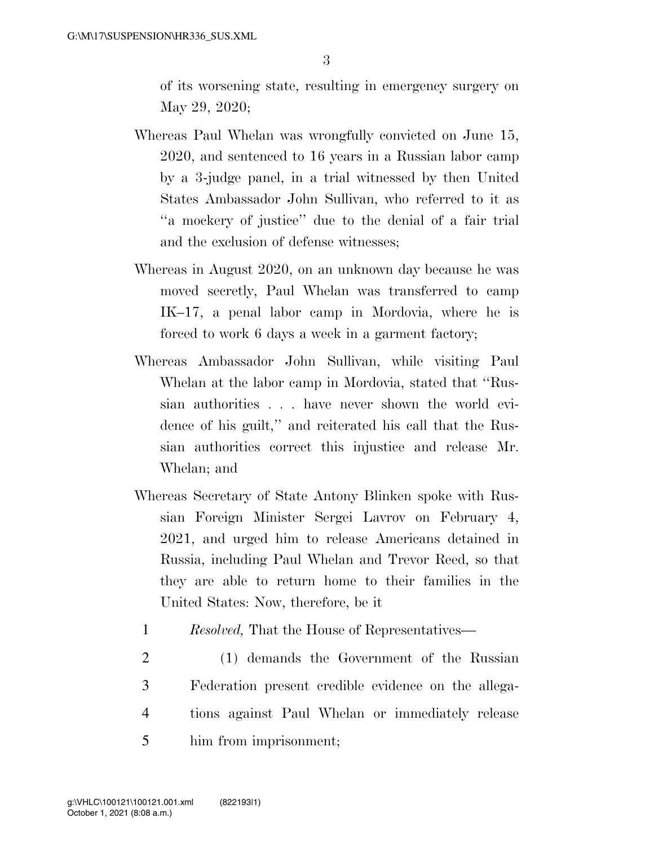of its worsening state, resulting in emergency surgery on May 29, 2020;

- Whereas Paul Whelan was wrongfully convicted on June 15, 2020, and sentenced to 16 years in a Russian labor camp by a 3-judge panel, in a trial witnessed by then United States Ambassador John Sullivan, who referred to it as ''a mockery of justice'' due to the denial of a fair trial and the exclusion of defense witnesses;
- Whereas in August 2020, on an unknown day because he was moved secretly, Paul Whelan was transferred to camp IK–17, a penal labor camp in Mordovia, where he is forced to work 6 days a week in a garment factory;
- Whereas Ambassador John Sullivan, while visiting Paul Whelan at the labor camp in Mordovia, stated that ''Russian authorities . . . have never shown the world evidence of his guilt,'' and reiterated his call that the Russian authorities correct this injustice and release Mr. Whelan; and
- Whereas Secretary of State Antony Blinken spoke with Russian Foreign Minister Sergei Lavrov on February 4, 2021, and urged him to release Americans detained in Russia, including Paul Whelan and Trevor Reed, so that they are able to return home to their families in the United States: Now, therefore, be it
	- 1 *Resolved,* That the House of Representatives—
- 2 (1) demands the Government of the Russian 3 Federation present credible evidence on the allega-4 tions against Paul Whelan or immediately release 5 him from imprisonment;